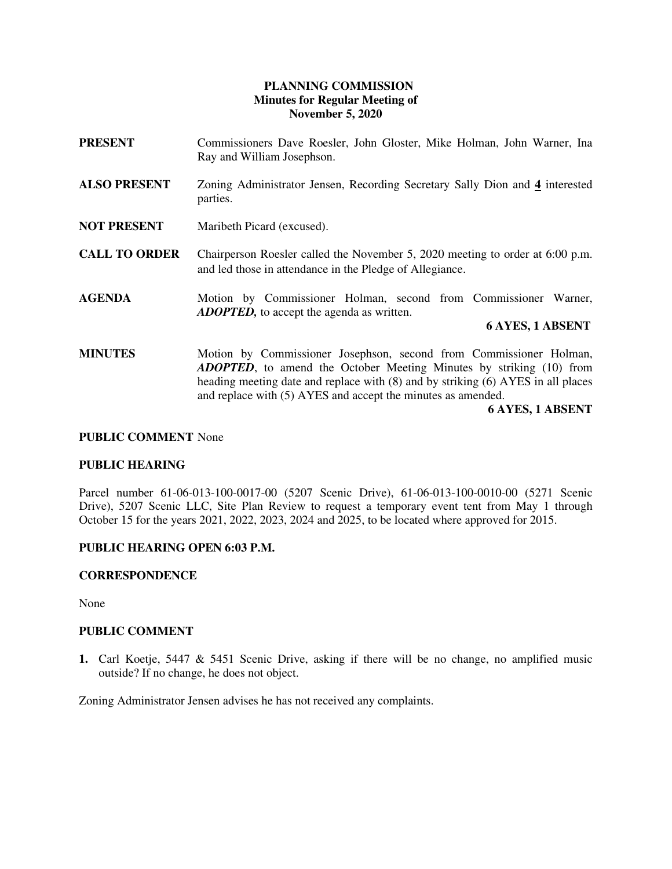# **PLANNING COMMISSION Minutes for Regular Meeting of November 5, 2020**

- **PRESENT** Commissioners Dave Roesler, John Gloster, Mike Holman, John Warner, Ina Ray and William Josephson.
- **ALSO PRESENT** Zoning Administrator Jensen, Recording Secretary Sally Dion and **4** interested parties.
- **NOT PRESENT** Maribeth Picard (excused).
- **CALL TO ORDER** Chairperson Roesler called the November 5, 2020 meeting to order at 6:00 p.m. and led those in attendance in the Pledge of Allegiance.
- **AGENDA** Motion by Commissioner Holman, second from Commissioner Warner, *ADOPTED,* to accept the agenda as written.

# **6 AYES, 1 ABSENT**

**MINUTES** Motion by Commissioner Josephson, second from Commissioner Holman, *ADOPTED*, to amend the October Meeting Minutes by striking (10) from heading meeting date and replace with (8) and by striking (6) AYES in all places and replace with (5) AYES and accept the minutes as amended.

 **6 AYES, 1 ABSENT** 

#### **PUBLIC COMMENT** None

### **PUBLIC HEARING**

Parcel number 61-06-013-100-0017-00 (5207 Scenic Drive), 61-06-013-100-0010-00 (5271 Scenic Drive), 5207 Scenic LLC, Site Plan Review to request a temporary event tent from May 1 through October 15 for the years 2021, 2022, 2023, 2024 and 2025, to be located where approved for 2015.

#### **PUBLIC HEARING OPEN 6:03 P.M.**

# **CORRESPONDENCE**

None

# **PUBLIC COMMENT**

**1.** Carl Koetje, 5447 & 5451 Scenic Drive, asking if there will be no change, no amplified music outside? If no change, he does not object.

Zoning Administrator Jensen advises he has not received any complaints.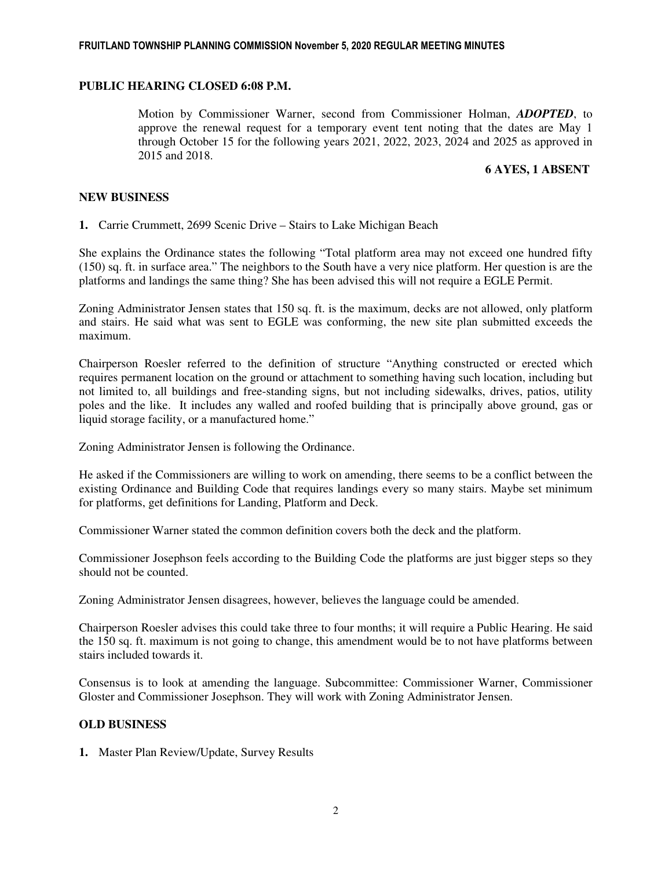### **PUBLIC HEARING CLOSED 6:08 P.M.**

Motion by Commissioner Warner, second from Commissioner Holman, *ADOPTED*, to approve the renewal request for a temporary event tent noting that the dates are May 1 through October 15 for the following years 2021, 2022, 2023, 2024 and 2025 as approved in 2015 and 2018.

### **6 AYES, 1 ABSENT**

### **NEW BUSINESS**

**1.** Carrie Crummett, 2699 Scenic Drive – Stairs to Lake Michigan Beach

She explains the Ordinance states the following "Total platform area may not exceed one hundred fifty (150) sq. ft. in surface area." The neighbors to the South have a very nice platform. Her question is are the platforms and landings the same thing? She has been advised this will not require a EGLE Permit.

Zoning Administrator Jensen states that 150 sq. ft. is the maximum, decks are not allowed, only platform and stairs. He said what was sent to EGLE was conforming, the new site plan submitted exceeds the maximum.

Chairperson Roesler referred to the definition of structure "Anything constructed or erected which requires permanent location on the ground or attachment to something having such location, including but not limited to, all buildings and free-standing signs, but not including sidewalks, drives, patios, utility poles and the like. It includes any walled and roofed building that is principally above ground, gas or liquid storage facility, or a manufactured home."

Zoning Administrator Jensen is following the Ordinance.

He asked if the Commissioners are willing to work on amending, there seems to be a conflict between the existing Ordinance and Building Code that requires landings every so many stairs. Maybe set minimum for platforms, get definitions for Landing, Platform and Deck.

Commissioner Warner stated the common definition covers both the deck and the platform.

Commissioner Josephson feels according to the Building Code the platforms are just bigger steps so they should not be counted.

Zoning Administrator Jensen disagrees, however, believes the language could be amended.

Chairperson Roesler advises this could take three to four months; it will require a Public Hearing. He said the 150 sq. ft. maximum is not going to change, this amendment would be to not have platforms between stairs included towards it.

Consensus is to look at amending the language. Subcommittee: Commissioner Warner, Commissioner Gloster and Commissioner Josephson. They will work with Zoning Administrator Jensen.

# **OLD BUSINESS**

**1.** Master Plan Review/Update, Survey Results